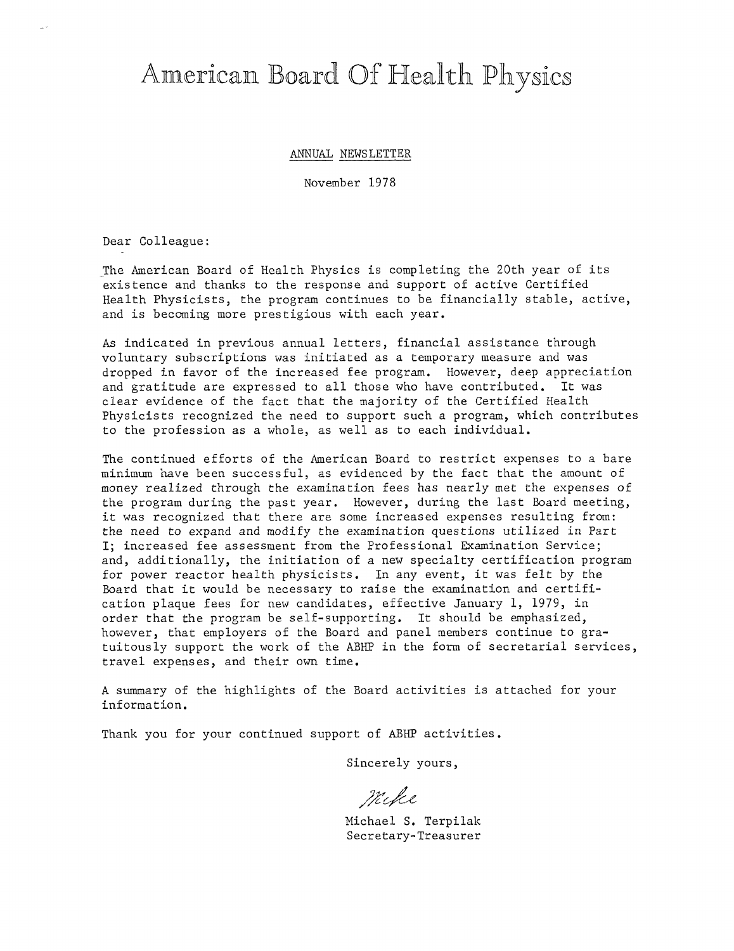# American Board Of Health Physics

ANNUAL NEWSLETTER

November 1978

Dear Colleague:

The American Board of Health Physics is completing the 20th year of its existence and thanks to the response and support of active Certified Health Physicists, the program continues to be financially stable, active, and is becoming more prestigious with each year.

As indicated in previous annual letters, financial assistance through voluntary subscriptions was initiated as a temporary measure and was dropped in favor of the increased fee program. However, deep appreciation and gratitude are expressed to all those who have contributed. It was clear evidence of the fact that the majority of the Certified Health Physicists recognized the need to support such a program, which contributes to the profession as a whole, as well as to each individual.

The continued efforts of the American Board to restrict expenses to a bare minimum have been successful, as evidenced by the fact that the amount of money realized through the examination fees has nearly met the expenses of the program during the past year. However, during the last Board meeting, it was recognized that there are some increased expenses resulting from: the need to expand and modify the examination questions utilized in Part I; increased fee assessment from the Professional Examination Service; and, additionally, the initiation of a new specialty certification program for power reactor health physicists. In any event, it was felt by the Board that it would be necessary to raise the examination and certification plaque fees for new candidates, effective January 1, 1979, in order that the program be self-supporting. It should be emphasized, however, that employers of the Board and panel members continue to gratuitously support the work of the ABHP in the form of secretarial services, travel expenses, and their own time.

A summary of the highlights of the Board activities is attached for your information.

Thank you for your continued support of ABHP activities.

Sincerely yours,

*/?;I'c,/4,e,* 

Michael S. Terpilak Secretary-Treasurer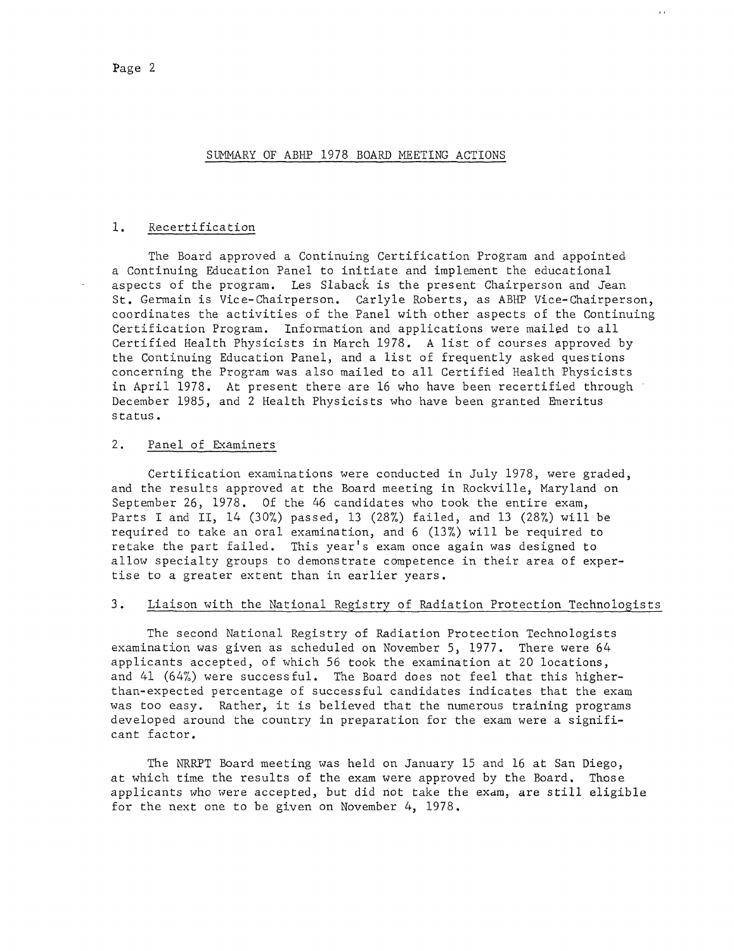$\mathbf{r}$ 

#### 1. Recertification

The Board approved a Continuing Certification Program and appointed a Continuing Education Panel to initiate and implement the educational aspects of the program. Les Slaback is the present Chairperson and Jean St. Germain is Vice-Chairperson. Carlyle Roberts, as ABHP Vice-Chairperson, coordinates the activities of the Panel with other aspects of the Continuing Certification Program. Information and applications were mailed to all Certified Health Physicists in March 1978. A list of courses approved by the Continuing Education Panel, and a list of frequently asked questions concerning the Program was also mailed to all Certified Health Physicists in April 1978. At present there are 16 who have been recertified through December 1985, and 2 Health Physicists who have been granted Emeritus status.

#### 2. Panel of Examiners

Certification examinations were conducted in July 1978, were graded, and the results approved at the Board meeting in Rockville, Maryland on September 26, 1978. Of the 46 candidates who took the entire exam, Parts I and II, 14 (30%) passed, 13 (28%) failed, and 13 (28%) will be required to take an oral examination, and 6 (13%) will be required to retake the part failed. This year's exam once again was designed to allow specialty groups to demonstrate competence in their area of expertise to a greater extent than in earlier years.

#### 3. Liaison with the National Registry of Radiation Protection Technologists

The second National Registry of Radiation Protection Technologists examination was given as scheduled on November 5, 1977. There were 64 applicants accepted, of which 56 took the examination at 20 locations, and 41 (64%) were successful. The Board does not feel that this higherthan-expected percentage of successful candidates indicates that the exam was too easy. Rather, it is believed that the numerous training programs developed around the country in preparation for the exam were a significant factor.

The NRRPT Board meeting was held on January 15 and 16 at San Diego, at which time the results of the exam were approved by the Board. Those applicants who were accepted, but did not take the exam, are still eligible for the next one to be given on November 4, 1978.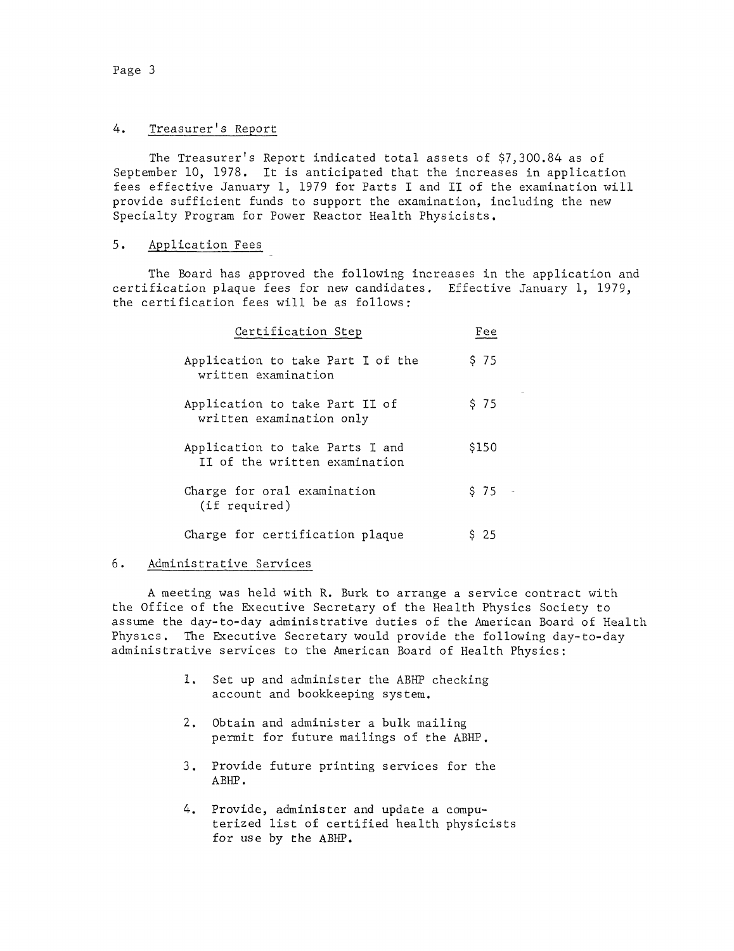# 4. Treasurer's Report

The Treasurer's Report indicated total assets of \$7,300.84 as of September 10, 1978. It is anticipated that the increases in application fees effective January 1, 1979 for Parts I and II of the examination will provide sufficient funds to support the examination, including the new Specialty Program for Power Reactor Health Physicists.

# 5. Application Fees

The Board has approved the following increases in the application and certification plaque fees for new candidates, Effective January 1, 1979, the certification fees will be as follows:

| Certification Step                                               | Fee   |
|------------------------------------------------------------------|-------|
| Application to take Part I of the<br>written examination         | \$75  |
| Application to take Part II of<br>written examination only       | \$75  |
| Application to take Parts I and<br>II of the written examination | \$150 |
| Charge for oral examination<br>(if required)                     | \$75  |
| Charge for certification plaque                                  | \$25  |

# 6. Administrative Services

A meeting was held with R. Burk to arrange a service contract with the Office of the Executive Secretary of the Health Physics Society to assume the day-to-day administrative duties of the American Board of Health Physics, The Executive Secretary would provide the following day-to-day administrative services to the American Board of Health Physics:

- 1, Set up and administer the ABHP checking account and bookkeeping system,
- 2, Obtain and administer a bulk mailing permit for future mailings of the ABHP.
- 3. Provide future printing services for the ABHP.
- 4. Provide, administer and update a computerized list of certified health physicists for use by the ABHP.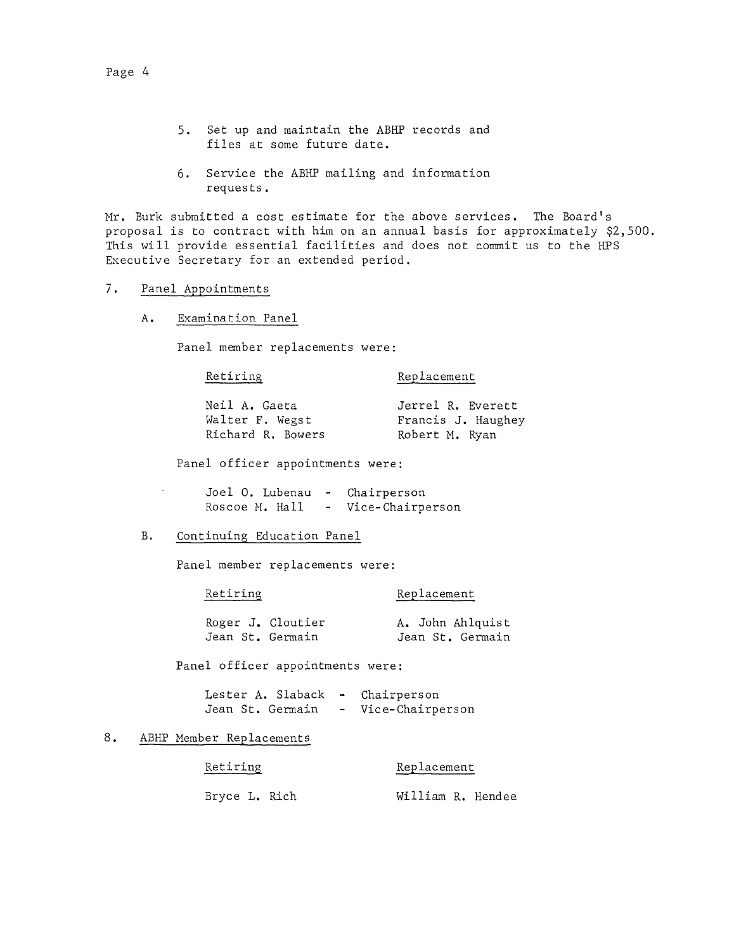- 5. Set up and maintain the ABHP records and files at some future date.
- 6. Service the ABHP mailing and information requests.

Mr. Burk submitted a cost estimate for the above services. The Board's proposal is to contract with him on an annual basis for approximately \$2,500. This will provide essential facilities and does not commit us to the HPS Executive Secretary for an extended period.

- 7. Panel Appointments
	- A. Examination Panel

Panel member replacements were:

Retiring

Replacement

| Neil A. Gaeta     | Jerrel R. Everett  |
|-------------------|--------------------|
| Walter F. Wegst   | Francis J. Haughey |
| Richard R. Bowers | Robert M. Ryan     |

Panel officer appointments were:

| Joel O. Lubenau - | Chairperson      |
|-------------------|------------------|
| Roscoe M. Hall    | Vice-Chairperson |

B. Continuing Education Panel

Panel member replacements were:

Retiring Replacement

|                  | Roger J. Cloutier |  | A. John Ahlquist |
|------------------|-------------------|--|------------------|
| Jean St. Germain |                   |  | Jean St. Germain |

Panel officer appointments were:

Lester A. Slaback - Chairperson Jean St. Germain Vice-Chairperson

# 8. ABHP Member Replacements

Retiring Replacement Bryce L. Rich William R. Hendee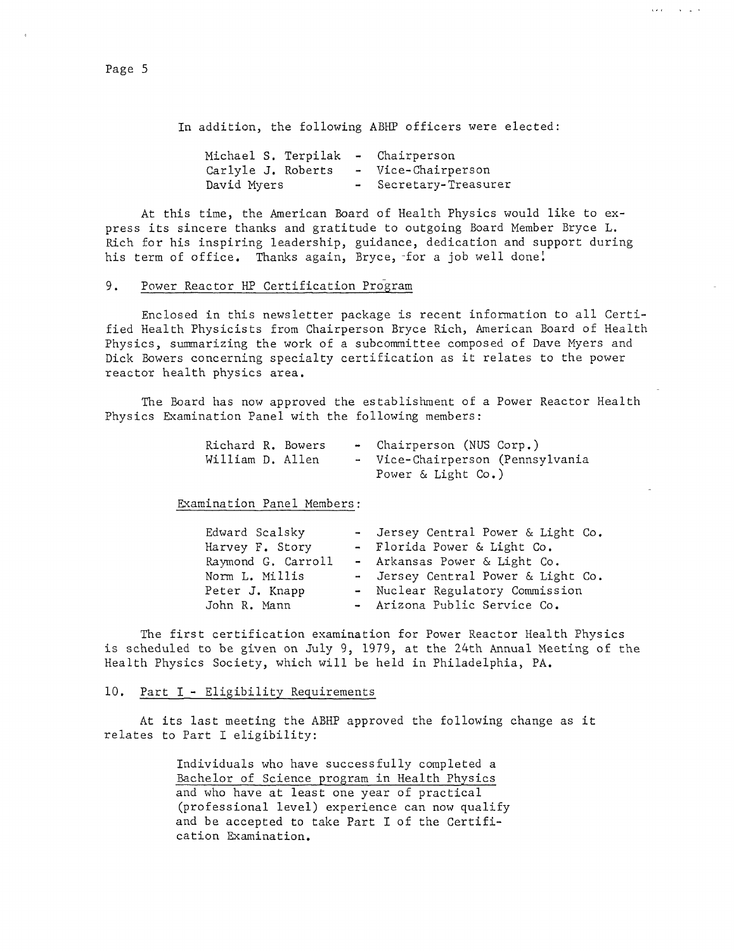In addition, the following ABHP officers were elected:

Available for the se-

| Michael S. Terpilak |  | - Chairperson         |
|---------------------|--|-----------------------|
| Carlyle J. Roberts  |  | - Vice-Chairperson    |
| David Myers         |  | - Secretary-Treasurer |

At this time, the American Board of Health Physics would like to express its sincere thanks and gratitude to outgoing Board Member Bryce L. Rich for his inspiring leadership, guidance, dedication and support during his term of office. Thanks again, Bryce, for a job well done!

# 9. Power Reactor HP Certification Program

Enclosed in this newsletter package is recent information to all Certified Health Physicists from Chairperson Bryce Rich, American Board of Health Physics, summarizing the work of a subcommittee composed of Dave Myers and Dick Bowers concerning specialty certification as it relates to the power reactor health physics area.

The Board has now approved the establishment of a Power Reactor Health Physics Examination Panel with the following members:

| Richard R. Bowers |  | - Chairperson (NUS Corp.)        |  |
|-------------------|--|----------------------------------|--|
| William D. Allen  |  | - Vice-Chairperson (Pennsylvania |  |
|                   |  | Power & Light Co.)               |  |

Examination Panel Members:

| Edward Scalsky     | - Jersey Central Power & Light Co. |
|--------------------|------------------------------------|
| Harvey F. Story    | - Florida Power & Light Co.        |
| Raymond G. Carroll | - Arkansas Power & Light Co.       |
| Norm L. Millis     | - Jersey Central Power & Light Co. |
| Peter J. Knapp     | - Nuclear Regulatory Commission    |
| John R. Mann       | - Arizona Public Service Co.       |

The first certification examination for Power Reactor Health Physics is scheduled to be given on July 9, 1979, at the 24th Annual Meeting of the Health Physics Society, which will be held in Philadelphia, PA.

# 10. Part I - Eligibility Requirements

At its last meeting the ABHP approved the following change as it relates to Part I eligibility:

> Individuals who have successfully completed a Bachelor of Science program in Health Physics and who have at least one year of practical (professional level) experience can now qualify and be accepted to take Part I of the Certification Examination.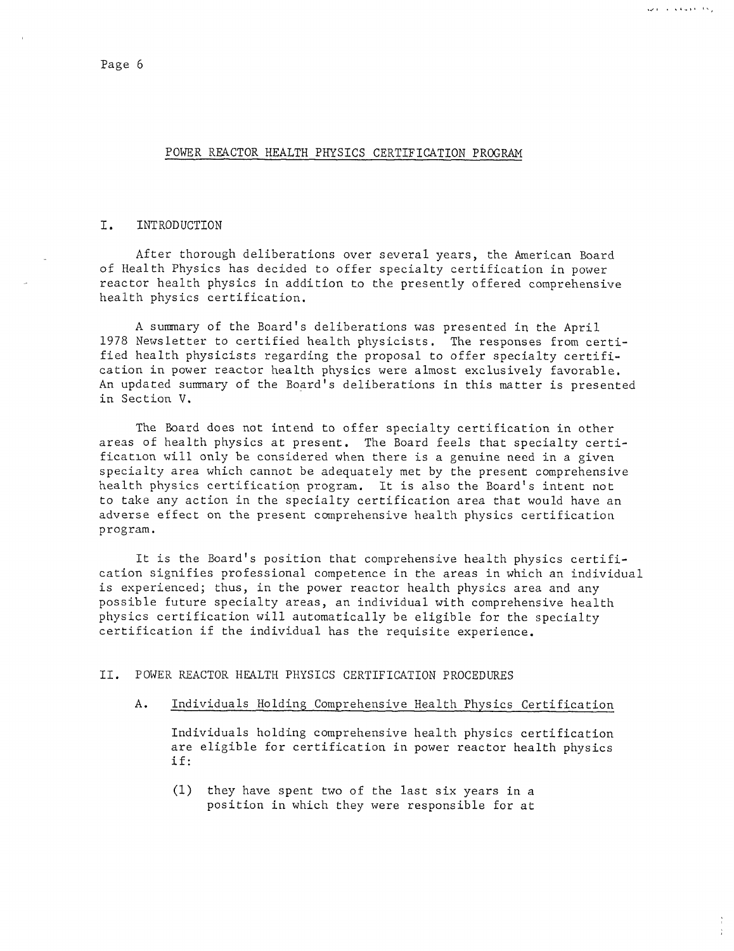أرتجه المعتقلة والمناصر

Ŷ.

#### POWER REACTOR HEALTH PHYSICS CERTIFICATION PROGRAM

#### I. INTRODUCTION

After thorough deliberations over several years, the American Board of Health Physics has decided to offer specialty certification in power reactor health physics in addition to the presently offered comprehensive health physics certification.

A summary of the Board's deliberations was presented in the April 1978 Newsletter to certified health physicists. The responses from certified health physicists regarding the proposal to offer specialty certification in power reactor health physics were almost exclusively favorable, An updated summary of the Board's deliberations in this matter is presented in Section V.

The Board does not intend to offer specialty certification in other areas of health physics at present, The Board feels that specialty certification will only be considered when there is a genuine need in a given specialty area which cannot be adequately met by the present comprehensive health physics certification program. It is also the Board's intent not to take any action in the specialty certification area that would have an adverse effect on the present comprehensive health physics certification program.

It is the Board's position that comprehensive health physics certification signifies professional competence in the areas in which an individual is experienced; thus, in the power reactor health physics area and any possible future specialty areas, an individual with comprehensive health <sup>p</sup>hysics certification will automatically be eligible for the specialty certification if the individual has the requisite experience,

### II. POWER REACTOR HEALTH PHYSICS CERTIFICATION PROCEDURES

A. Individuals Holding Comprehensive Health Physics Certification

Individuals holding comprehensive health physics certification are eligible for certification in power reactor health physics if:

(1) they have spent two of the last six years in <sup>a</sup> position in which they were responsible for at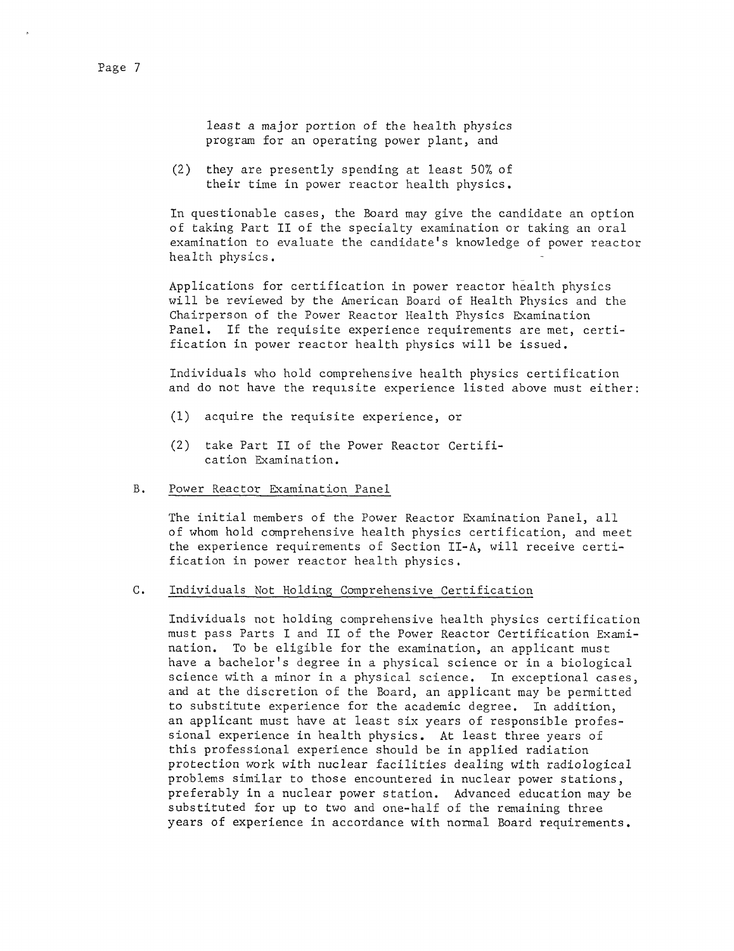(2) they are presently spending at least 50% of their time in power reactor health physics.

In questionable cases, the Board may give the candidate an option of taking Part II of the specialty examination or taking an oral examination to evaluate the candidate's knowledge of power reactor health physics.

Applications for certification in power reactor health physics will be reviewed by the American Board of Health Physics and the Chairperson of the Power Reactor Health Physics Examination Panel, If the requisite experience requirements are met, certification in power reactor health physics will be issued.

Individuals who hold comprehensive health physics certification and do not have the requisite experience listed above must either:

- (1) acquire the requisite experience, or
- (2) take Part II of the Power Reactor Certification Examination,

#### B. Power Reactor Examination Panel

The initial members of the Power Reactor Examination Panel, all of whom hold comprehensive health physics certification, and meet the experience requirements of Section II-A, will receive certification in power reactor health physics,

#### c. Individuals Not Holding Comprehensive Certification

Individuals not holding comprehensive health physics certification must pass Parts I and II of the Power Reactor Certification Examination, To be eligible for the examination, an applicant must have a bachelor's degree in a physical science or in a biological science with a minor in a physical science. In exceptional cases, and at the discretion of the Board, an applicant may be permitted to substitute experience for the academic degree. In addition, an applicant must have at least six years of responsible professional experience in health physics. At least three years of this professional experience should be in applied radiation protection work with nuclear facilities dealing with radiological problems similar to those encountered in nuclear power stations, preferably in a nuclear power station, Advanced education may be substituted for up to two and one-half of the remaining three years of experience in accordance with normal Board requirements.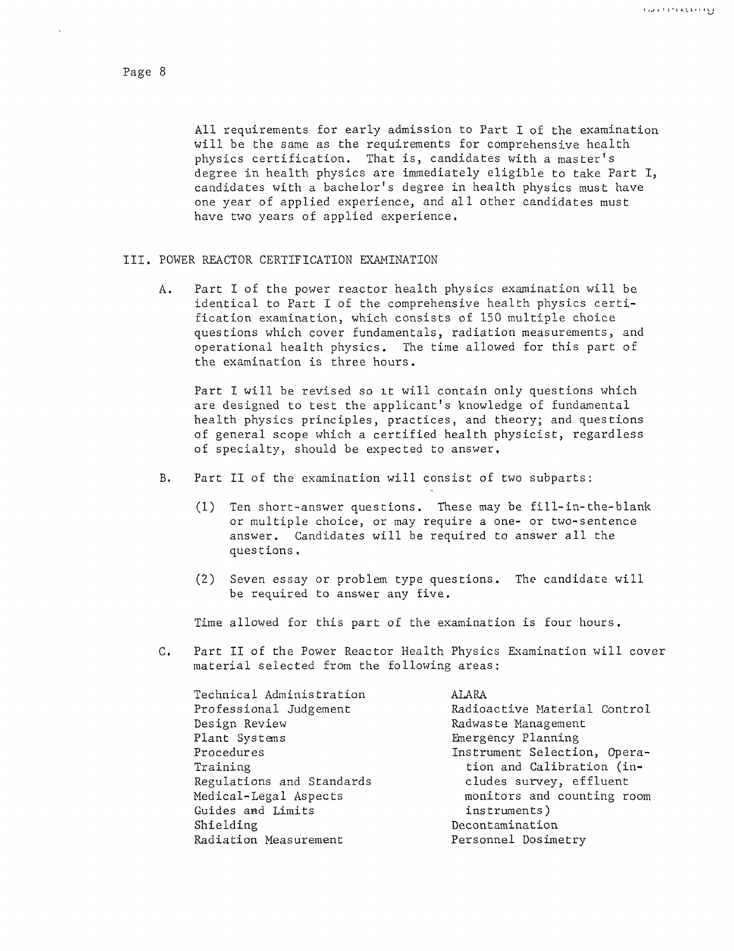All requirements for early admission to Part I of the examination will be the same as the requirements for comprehensive health physics certification, That is, candidates with a master's degree in health physics are immediately eligible to take Part I, candidates with a bachelor's degree in health physics must have one year of applied experience, and all other candidates must have two years of applied experience.

#### III. POWER REACTOR CERTIFICATION EXAMINATION

 $\overline{A}$ . Part I of the power reactor health physics examination will be identical to Part I of the comprehensive health physics certification examination, which consists of 150 multiple choice questions which cover fundamentals, radiation measurements, and operational health physics. The time allowed for this part of the examination is three hours.

Part I will be revised so it will contain only questions which are designed to test the applicant's knowledge of fundamental health physics principles, practices, and theory; and questions of general scope which a certified health physicist, regardless of specialty, should be expected to answer.

- B. Part II of the examination will consist of two subparts:
	- (1) Ten short-answer questions. These may be fill-in-the-blank or multiple choice, or may require a one- or two-sentence answer. Candidates will be required to answer all the questions.
	- (2) Seven essay or problem type questions. The candidate will be required to answer any five.

Time allowed for this part of the examination is four hours.

C. Part II of the Power Reactor Health Physics Examination will cover material selected from the following areas:

| Technical Administration  | ALARA                        |
|---------------------------|------------------------------|
| Professional Judgement    | Radioactive Material Control |
| Design Review             | Radwaste Management          |
| Plant Systems             | Emergency Planning           |
| Procedures                | Instrument Selection, Opera- |
| Training                  | tion and Calibration (in-    |
| Regulations and Standards | cludes survey, effluent      |
| Medical-Legal Aspects     | monitors and counting room   |
| Guides and Limits         | instruments)                 |
| Shielding                 | Decontamination              |
| Radiation Measurement     | Personnel Dosimetry          |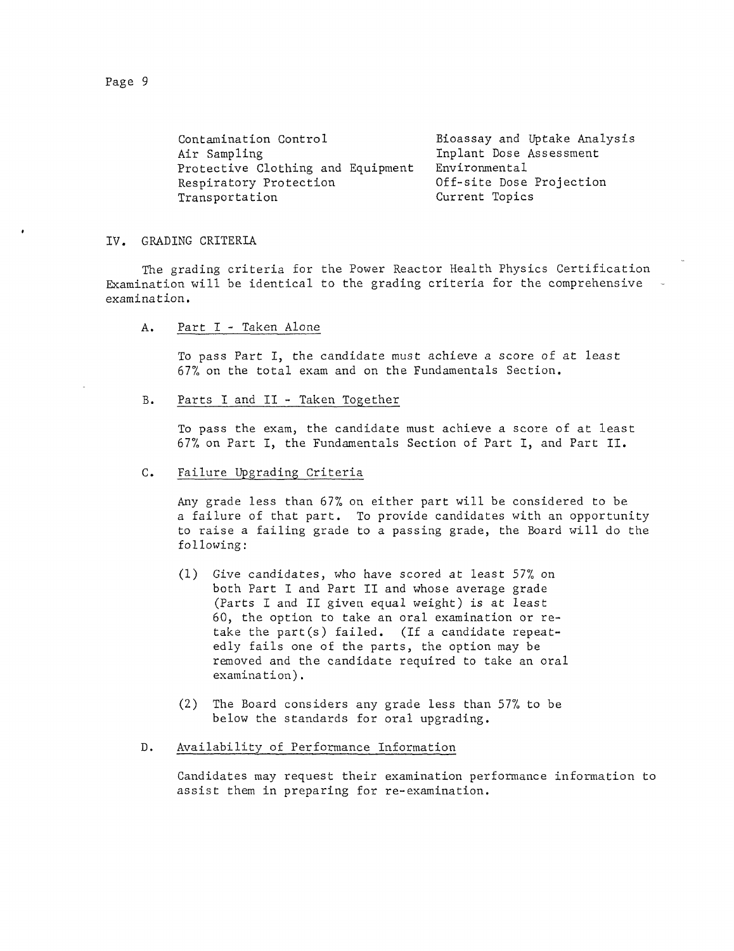Contamination Control Air Sampling Protective Clothing and Equipment Respiratory Protection Transportation Bioassay and Uptake Analysis Inplant Dose Assessment Environmental Off-site Dose Projection Current Topics

#### IV. GRADING CRITERIA

The grading criteria for the Power Reactor Health Physics Certification Examination will be identical to the grading criteria for the comprehensive examination,

A. Part I - Taken Alone

To pass Part I, the candidate must achieve a score of at least 67% on the total exam and on the Fundamentals Section,

B. Parts I and II - Taken Together

> To pass the exam, the candidate must achieve a score of at least 67% on Part I, the Fundamentals Section of Part I, and Part II.

c. Failure Upgrading Criteria

> Any grade less than 67% on either part will be considered to be a failure of that part. To provide candidates with an opportunity to raise a failing grade to a passing grade, the Board will do the following:

- (1) Give candidates, who have scored at least 57% on both Part I and Part II and whose average grade (Parts I and II given equal weight) is at least 60, the option to take an oral examination or retake the part(s) failed, (If a candidate repeatedly fails one of the parts, the option may be removed and the candidate required to take an oral examination).
- (2) The Board considers any grade less than 57% to be below the standards for oral upgrading,
- D. Availability of Performance Information

Candidates may request their examination performance information to assist them in preparing for re-examination.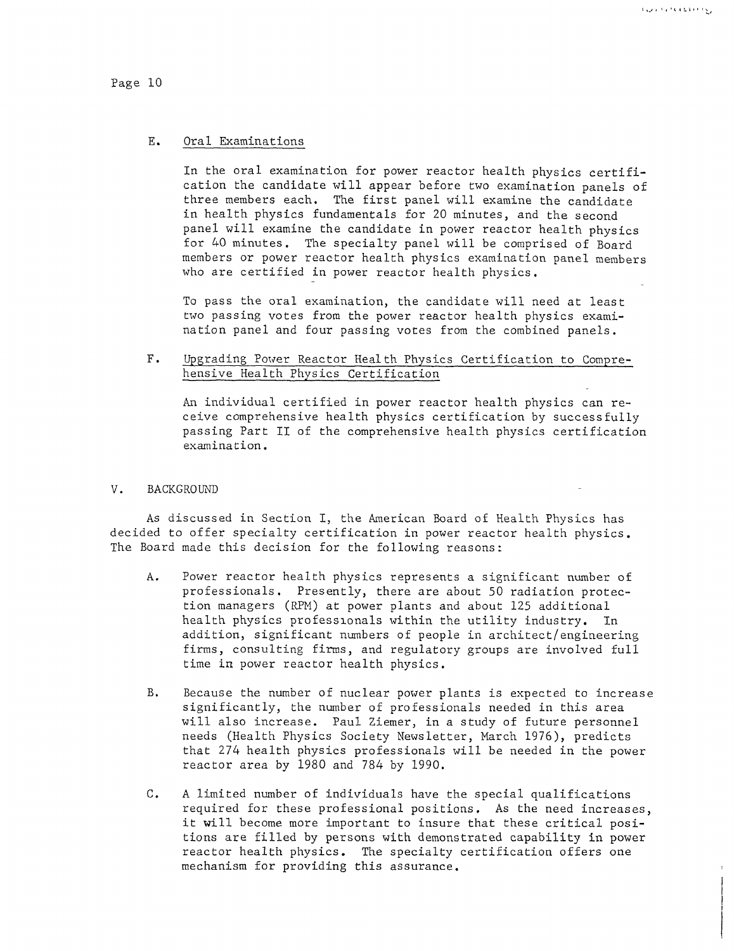#### Page 10

#### E. Oral Examinations

In the oral examination for power reactor health physics certification the candidate will appear before two examination panels of three members each. The first panel will examine the candidate in health physics fundamentals for 20 minutes, and the second panel will examine the candidate in power reactor health physics for 40 minutes. The specialty panel will be comprised of Board members or power reactor health physics examination panel members who are certified in power reactor health physics,

To pass the oral examination, the candidate will need at least two passing votes from the power reactor health physics examination panel and four passing votes from the combined panels.

F. Upgrading Power Reactor Heal th Physics Certification to Comprehensive Health Phvsics Certification

An individual certified in power reactor health physics can receive comprehensive health physics certification by successfully passing Part II of the comprehensive health physics certification examination.

#### V. BACKGROUND

As discussed in Section I, the American Board of Health Physics has decided to offer specialty certification in power reactor health physics. The Board made this decision for the following reasons:

- A. Power reactor health physics represents a significant number of professionals. Presently, there are about 50 radiation protection managers (RPM) at power plants and about 125 additional health physics professionals within the utility industry. In addition, significant numbers of people in architect/engineering firms, consulting firms, and regulatory groups are involved full time in power reactor health physics,
- B. Because the number of nuclear power plants is expected to increase significantly, the number of professionals needed in this area will also increase. Paul Ziemer, in a study of future personnel needs (Health Physics Society Newsletter, March 1976), predicts that 274 health physics professionals will be needed in the power reactor area by 1980 and 784 by 1990.
- C. A limited number of individuals have the special qualifications required for these professional positions, As the need increases, it will become more important to insure that these critical positions are filled by persons with demonstrated capability in power reactor health physics. The specialty certification offers one mechanism for providing this assurance.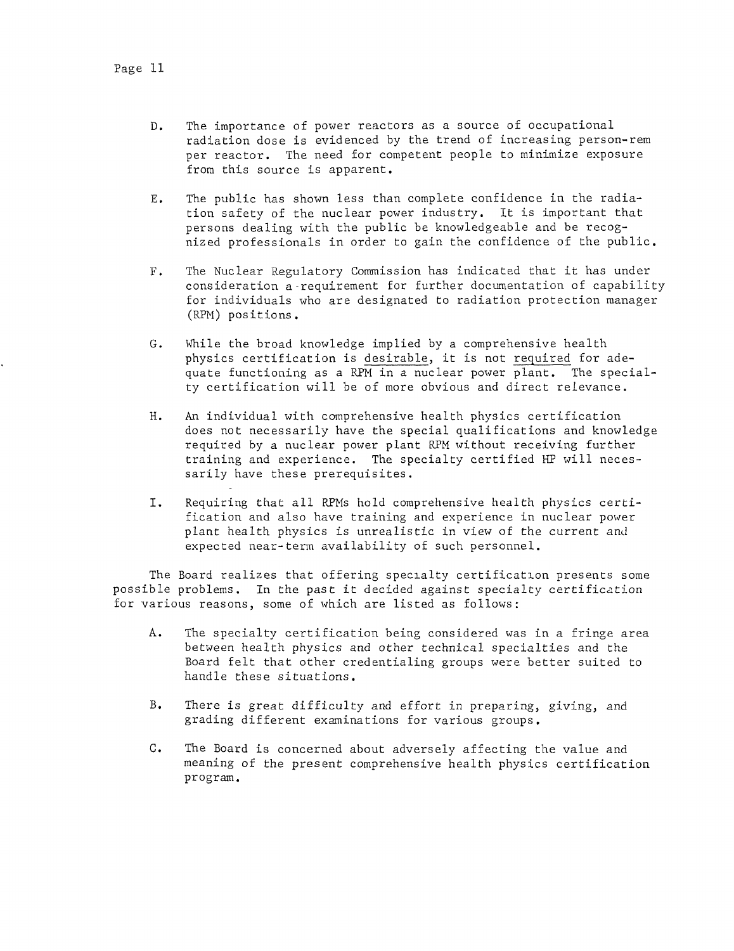- D. The importance of power reactors as a source of occupational radiation dose is evidenced by the trend of increasing person-rem per reactor. The need for competent people to minimize exposure from this source is apparent.
- E. The public has shown less than complete confidence in the radiation safety of the nuclear power industry. It is important that persons dealing with the public be knowledgeable and be recognized professionals in order to gain the confidence of the public.
- F. The Nuclear Regulatory Commission has indicated that it has under consideration a requirement for further documentation of capability for individuals who are designated to radiation protection manager (RPM) positions.
- G. While the broad knowledge implied by a comprehensive health physics certification is desirable, it is not required for adequate functioning as a RPM in a nuclear power plant. The specialty certification will be of more obvious and direct relevance.
- H. An individual with comprehensive health physics certification does not necessarily have the special qualifications and knowledge required by a nuclear power plant RPM without receiving further training and experience. The specialty certified HP will necessarily have these prerequisites.
- I. Requiring that all RPMs hold comprehensive health physics certification and also have training and experience in nuclear power plant health physics is unrealistic in view of the current and expected near-term availability of such personnel.

The Board realizes that offering specialty certification presents some possible problems. In the past it decided against specialty certification for various reasons, some of which are listed as follows:

- A. The specialty certification being considered was in a fringe area between health physics and other technical specialties and the Board felt that other credentialing groups were better suited to handle these situations,
- B. There is great difficulty and effort in preparing, giving, and grading different examinations for various groups,
- C. The Board is concerned about adversely affecting the value and meaning of the present comprehensive health physics certification program.